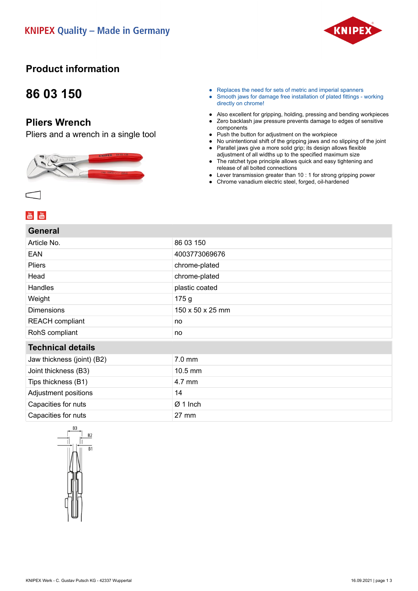

## **Product information**

## **86 03 150**

### **Pliers Wrench**

Pliers and a wrench in a single tool



- Replaces the need for sets of metric and imperial spanners
- Smooth jaws for damage free installation of plated fittings working directly on chrome!
- Also excellent for gripping, holding, pressing and bending workpieces
- Zero backlash jaw pressure prevents damage to edges of sensitive components
- Push the button for adjustment on the workpiece
- No unintentional shift of the gripping jaws and no slipping of the joint
- Parallel jaws give a more solid grip; its design allows flexible adjustment of all widths up to the specified maximum size
- The ratchet type principle allows quick and easy tightening and release of all bolted connections
- Lever transmission greater than 10 : 1 for strong gripping power
- Chrome vanadium electric steel, forged, oil-hardened

| General                    |                   |
|----------------------------|-------------------|
| Article No.                | 86 03 150         |
| EAN                        | 4003773069676     |
| <b>Pliers</b>              | chrome-plated     |
| Head                       | chrome-plated     |
| Handles                    | plastic coated    |
| Weight                     | 175g              |
| <b>Dimensions</b>          | 150 x 50 x 25 mm  |
| <b>REACH</b> compliant     | no                |
| RohS compliant             | no                |
| <b>Technical details</b>   |                   |
| Jaw thickness (joint) (B2) | 7.0 mm            |
| Joint thickness (B3)       | $10.5 \text{ mm}$ |
| Tips thickness (B1)        | 4.7 mm            |
| Adjustment positions       | 14                |
| Capacities for nuts        | $Ø1$ Inch         |
| Capacities for nuts        | 27 mm             |
|                            |                   |

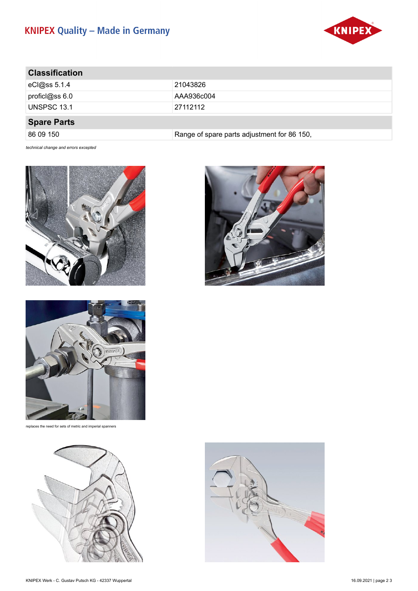# **KNIPEX Quality - Made in Germany**



| <b>Classification</b> |                                             |
|-----------------------|---------------------------------------------|
| $c$ Cl@ss 5.1.4       | 21043826                                    |
| proficl@ss $6.0$      | AAA936c004                                  |
| UNSPSC 13.1           | 27112112                                    |
| <b>Spare Parts</b>    |                                             |
| 86 09 150             | Range of spare parts adjustment for 86 150, |

*technical change and errors excepted*





replaces the need for sets of metric and imperial spanners